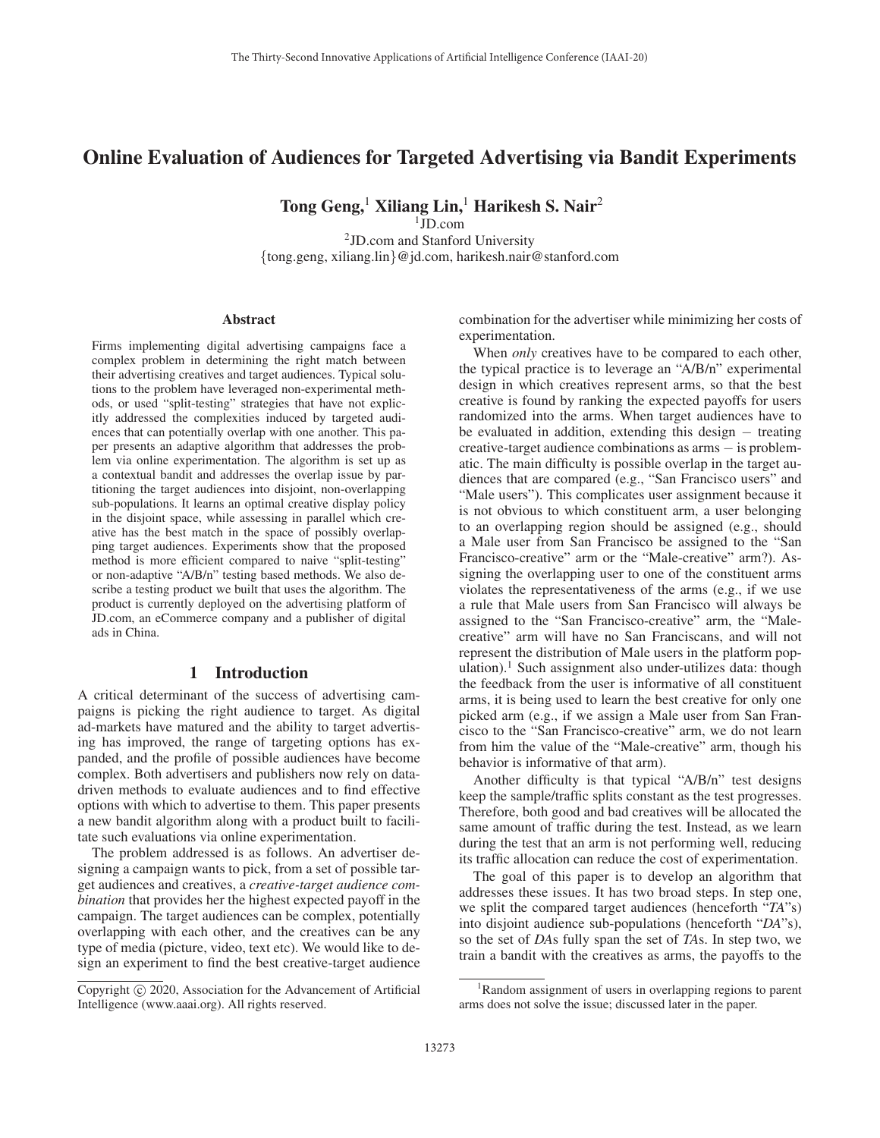# Online Evaluation of Audiences for Targeted Advertising via Bandit Experiments

Tong Geng,<sup>1</sup> Xiliang Lin,<sup>1</sup> Harikesh S. Nair<sup>2</sup>

 $1$ JD.com 2JD.com and Stanford University {tong.geng, xiliang.lin}@jd.com, harikesh.nair@stanford.com

#### **Abstract**

Firms implementing digital advertising campaigns face a complex problem in determining the right match between their advertising creatives and target audiences. Typical solutions to the problem have leveraged non-experimental methods, or used "split-testing" strategies that have not explicitly addressed the complexities induced by targeted audiences that can potentially overlap with one another. This paper presents an adaptive algorithm that addresses the problem via online experimentation. The algorithm is set up as a contextual bandit and addresses the overlap issue by partitioning the target audiences into disjoint, non-overlapping sub-populations. It learns an optimal creative display policy in the disjoint space, while assessing in parallel which creative has the best match in the space of possibly overlapping target audiences. Experiments show that the proposed method is more efficient compared to naive "split-testing" or non-adaptive "A/B/n" testing based methods. We also describe a testing product we built that uses the algorithm. The product is currently deployed on the advertising platform of JD.com, an eCommerce company and a publisher of digital ads in China.

## 1 Introduction

A critical determinant of the success of advertising campaigns is picking the right audience to target. As digital ad-markets have matured and the ability to target advertising has improved, the range of targeting options has expanded, and the profile of possible audiences have become complex. Both advertisers and publishers now rely on datadriven methods to evaluate audiences and to find effective options with which to advertise to them. This paper presents a new bandit algorithm along with a product built to facilitate such evaluations via online experimentation.

The problem addressed is as follows. An advertiser designing a campaign wants to pick, from a set of possible target audiences and creatives, a *creative-target audience combination* that provides her the highest expected payoff in the campaign. The target audiences can be complex, potentially overlapping with each other, and the creatives can be any type of media (picture, video, text etc). We would like to design an experiment to find the best creative-target audience

combination for the advertiser while minimizing her costs of experimentation.

When *only* creatives have to be compared to each other, the typical practice is to leverage an "A/B/n" experimental design in which creatives represent arms, so that the best creative is found by ranking the expected payoffs for users randomized into the arms. When target audiences have to be evaluated in addition, extending this design − treating creative-target audience combinations as arms − is problematic. The main difficulty is possible overlap in the target audiences that are compared (e.g., "San Francisco users" and "Male users"). This complicates user assignment because it is not obvious to which constituent arm, a user belonging to an overlapping region should be assigned (e.g., should a Male user from San Francisco be assigned to the "San Francisco-creative" arm or the "Male-creative" arm?). Assigning the overlapping user to one of the constituent arms violates the representativeness of the arms (e.g., if we use a rule that Male users from San Francisco will always be assigned to the "San Francisco-creative" arm, the "Malecreative" arm will have no San Franciscans, and will not represent the distribution of Male users in the platform population).<sup>1</sup> Such assignment also under-utilizes data: though the feedback from the user is informative of all constituent arms, it is being used to learn the best creative for only one picked arm (e.g., if we assign a Male user from San Francisco to the "San Francisco-creative" arm, we do not learn from him the value of the "Male-creative" arm, though his behavior is informative of that arm).

Another difficulty is that typical "A/B/n" test designs keep the sample/traffic splits constant as the test progresses. Therefore, both good and bad creatives will be allocated the same amount of traffic during the test. Instead, as we learn during the test that an arm is not performing well, reducing its traffic allocation can reduce the cost of experimentation.

The goal of this paper is to develop an algorithm that addresses these issues. It has two broad steps. In step one, we split the compared target audiences (henceforth "*TA*"s) into disjoint audience sub-populations (henceforth "*DA*"s), so the set of *DA*s fully span the set of *TA*s. In step two, we train a bandit with the creatives as arms, the payoffs to the

Copyright  $\odot$  2020, Association for the Advancement of Artificial Intelligence (www.aaai.org). All rights reserved.

<sup>&</sup>lt;sup>1</sup>Random assignment of users in overlapping regions to parent arms does not solve the issue; discussed later in the paper.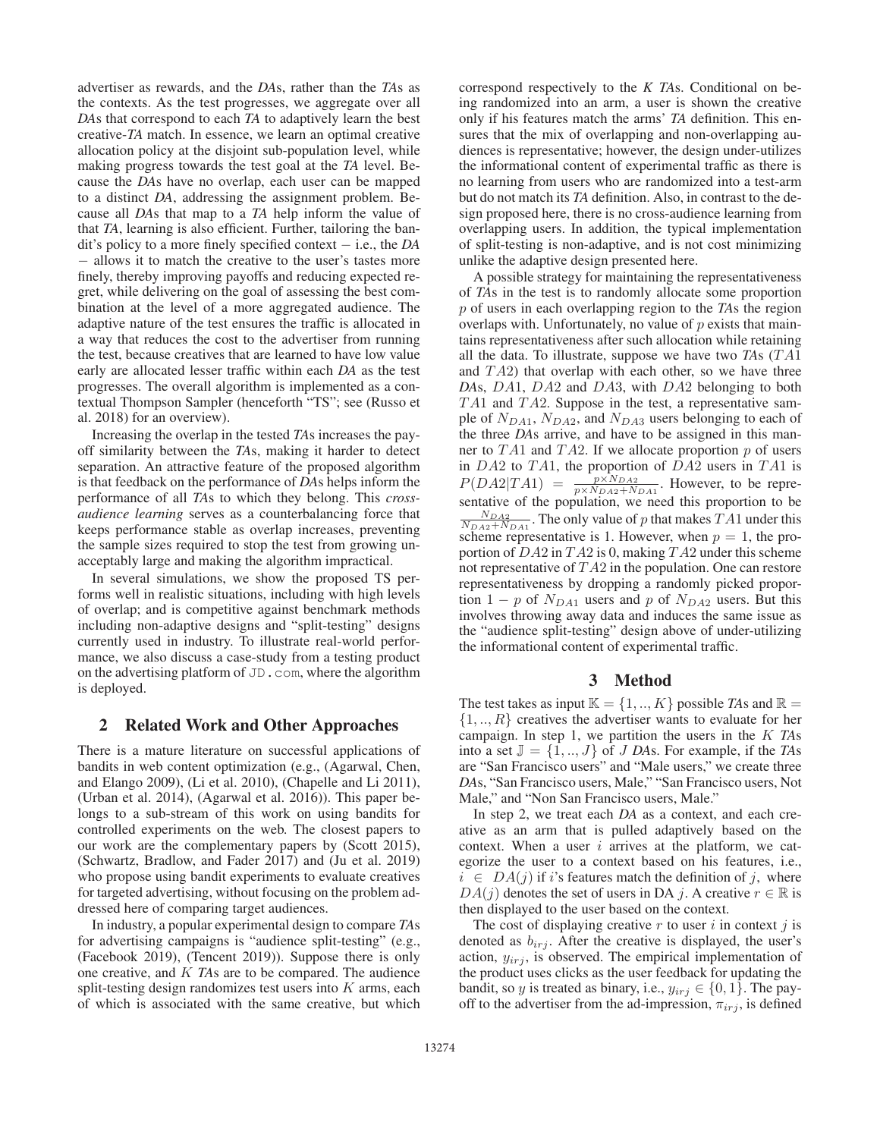advertiser as rewards, and the *DA*s, rather than the *TA*s as the contexts. As the test progresses, we aggregate over all *DA*s that correspond to each *TA* to adaptively learn the best creative-*TA* match. In essence, we learn an optimal creative allocation policy at the disjoint sub-population level, while making progress towards the test goal at the *TA* level. Because the *DA*s have no overlap, each user can be mapped to a distinct *DA*, addressing the assignment problem. Because all *DA*s that map to a *TA* help inform the value of that *TA*, learning is also efficient. Further, tailoring the bandit's policy to a more finely specified context − i.e., the *DA* − allows it to match the creative to the user's tastes more finely, thereby improving payoffs and reducing expected regret, while delivering on the goal of assessing the best combination at the level of a more aggregated audience. The adaptive nature of the test ensures the traffic is allocated in a way that reduces the cost to the advertiser from running the test, because creatives that are learned to have low value early are allocated lesser traffic within each *DA* as the test progresses. The overall algorithm is implemented as a contextual Thompson Sampler (henceforth "TS"; see (Russo et al. 2018) for an overview).

Increasing the overlap in the tested *TA*s increases the payoff similarity between the *TA*s, making it harder to detect separation. An attractive feature of the proposed algorithm is that feedback on the performance of *DA*s helps inform the performance of all *TA*s to which they belong. This *crossaudience learning* serves as a counterbalancing force that keeps performance stable as overlap increases, preventing the sample sizes required to stop the test from growing unacceptably large and making the algorithm impractical.

In several simulations, we show the proposed TS performs well in realistic situations, including with high levels of overlap; and is competitive against benchmark methods including non-adaptive designs and "split-testing" designs currently used in industry. To illustrate real-world performance, we also discuss a case-study from a testing product on the advertising platform of JD.com, where the algorithm is deployed.

## 2 Related Work and Other Approaches

There is a mature literature on successful applications of bandits in web content optimization (e.g., (Agarwal, Chen, and Elango 2009), (Li et al. 2010), (Chapelle and Li 2011), (Urban et al. 2014), (Agarwal et al. 2016)). This paper belongs to a sub-stream of this work on using bandits for controlled experiments on the web. The closest papers to our work are the complementary papers by (Scott 2015), (Schwartz, Bradlow, and Fader 2017) and (Ju et al. 2019) who propose using bandit experiments to evaluate creatives for targeted advertising, without focusing on the problem addressed here of comparing target audiences.

In industry, a popular experimental design to compare *TA*s for advertising campaigns is "audience split-testing" (e.g., (Facebook 2019), (Tencent 2019)). Suppose there is only one creative, and K *TA*s are to be compared. The audience split-testing design randomizes test users into  $K$  arms, each of which is associated with the same creative, but which correspond respectively to the *K TA*s. Conditional on being randomized into an arm, a user is shown the creative only if his features match the arms' *TA* definition. This ensures that the mix of overlapping and non-overlapping audiences is representative; however, the design under-utilizes the informational content of experimental traffic as there is no learning from users who are randomized into a test-arm but do not match its *TA* definition. Also, in contrast to the design proposed here, there is no cross-audience learning from overlapping users. In addition, the typical implementation of split-testing is non-adaptive, and is not cost minimizing unlike the adaptive design presented here.

A possible strategy for maintaining the representativeness of *TA*s in the test is to randomly allocate some proportion p of users in each overlapping region to the *TA*s the region overlaps with. Unfortunately, no value of  $p$  exists that maintains representativeness after such allocation while retaining all the data. To illustrate, suppose we have two  $TAs (TA1)$ and  $TA2$ ) that overlap with each other, so we have three *DA*s, DA1, DA<sup>2</sup> and DA3, with DA<sup>2</sup> belonging to both  $TA1$  and  $TA2$ . Suppose in the test, a representative sample of  $N_{DA1}$ ,  $N_{DA2}$ , and  $N_{DA3}$  users belonging to each of the three *DA*s arrive, and have to be assigned in this manner to TA1 and TA2. If we allocate proportion p of users<br>in DA2 to TA1, the proportion of DA2 users in TA1 is in DA2 to TA1, the proportion of DA2 users in TA1 is<br> $P(DA2|TA1) = P^{XN_{DA2}}$  However, to be repre- $P(DA2|TA1) = \frac{p \times N_{DA2}}{p \times N_{DA2} + N_{DA1}}$ . However, to be representative of the population, we need this proportion to be  $\frac{N_{DA2}}{N_{DA2}+N_{DA1}}$ . The only value of p that makes TA1 under this scheme representative is 1. However, when  $n=1$ , the proscheme representative is 1. However, when  $p = 1$ , the proportion of  $DA2$  in  $TA2$  is 0, making  $TA2$  under this scheme not representative of  $TA2$  in the population. One can restore representativeness by dropping a randomly picked proportion 1 − p of  $N_{DA1}$  users and p of  $N_{DA2}$  users. But this involves throwing away data and induces the same issue as the "audience split-testing" design above of under-utilizing the informational content of experimental traffic.

## 3 Method

The test takes as input  $\mathbb{K} = \{1, ..., K\}$  possible *TAs* and  $\mathbb{R} =$  $\{1, ..., R\}$  creatives the advertiser wants to evaluate for her campaign. In step 1, we partition the users in the K *TA*<sup>s</sup> into a set  $\mathbb{J} = \{1, ..., J\}$  of *J DAs*. For example, if the *TAs* are "San Francisco users" and "Male users," we create three *DA*s, "San Francisco users, Male," "San Francisco users, Not Male," and "Non San Francisco users, Male."

In step 2, we treat each *DA* as a context, and each creative as an arm that is pulled adaptively based on the context. When a user  $i$  arrives at the platform, we categorize the user to a context based on his features, i.e.,  $i \in DA(j)$  if i's features match the definition of j, where  $DA(j)$  denotes the set of users in DA j. A creative  $r \in \mathbb{R}$  is then displayed to the user based on the context.

The cost of displaying creative  $r$  to user  $i$  in context  $j$  is denoted as  $b_{irj}$ . After the creative is displayed, the user's action,  $y_{irj}$ , is observed. The empirical implementation of the product uses clicks as the user feedback for updating the bandit, so y is treated as binary, i.e.,  $y_{irj} \in \{0, 1\}$ . The payoff to the advertiser from the ad-impression,  $\pi_{irj}$ , is defined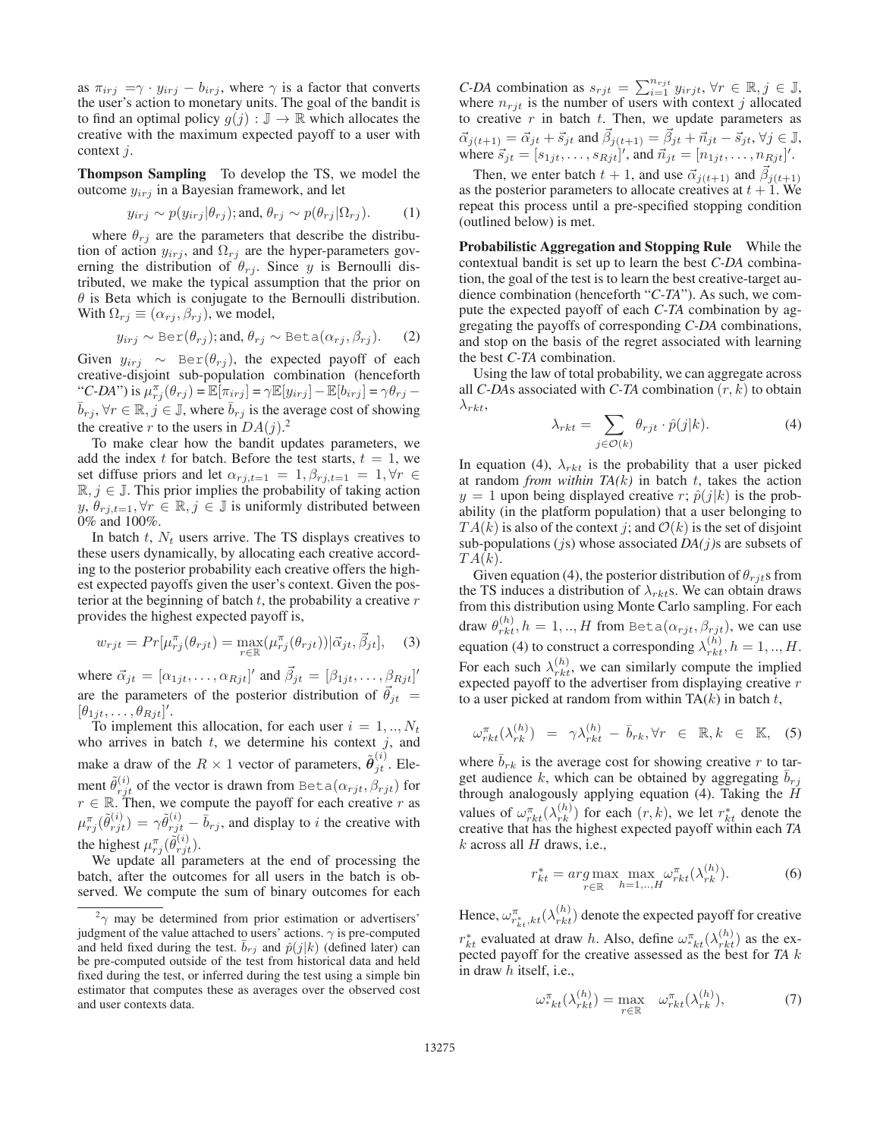as  $\pi_{irj} = \gamma \cdot y_{irj} - b_{irj}$ , where  $\gamma$  is a factor that converts the user's action to monetary units. The goal of the bandit is to find an optimal policy  $g(j) : \mathbb{J} \to \mathbb{R}$  which allocates the creative with the maximum expected payoff to a user with context j.

Thompson Sampling To develop the TS, we model the outcome  $y_{irj}$  in a Bayesian framework, and let

$$
y_{irj} \sim p(y_{irj}|\theta_{rj});
$$
 and,  $\theta_{rj} \sim p(\theta_{rj}|\Omega_{rj}).$  (1)

where  $\theta_{rj}$  are the parameters that describe the distribu-<br>in of action  $y_{\text{ini}}$  and  $\Omega_{\text{ini}}$  are the hyper-parameters govtion of action  $y_{irj}$ , and  $\Omega_{rj}$  are the hyper-parameters governing the distribution of  $\theta_{rj}$ . Since y is Bernoulli distributed, we make the typical assumption that the prior on  $\theta$  is Beta which is conjugate to the Bernoulli distribution. With  $\Omega_{rj} \equiv (\alpha_{rj}, \beta_{rj})$ , we model,

$$
y_{irj} \sim \text{Ber}(\theta_{rj}); \text{and, } \theta_{rj} \sim \text{Beta}(\alpha_{rj}, \beta_{rj}).
$$
 (2)

Given  $y_{irj} \sim \text{Ber}(\theta_{rj})$ , the expected payoff of each creative-disjoint sub-population combination (henceforth "C-DA") is  $\mu_{rj}^{\pi}(\theta_{rj}) = \mathbb{E}[\pi_{irj}] = \gamma \mathbb{E}[y_{irj}] - \mathbb{E}[b_{irj}] = \gamma \theta_{rj} - \bar{b}$  $\bar{b}_{rj}$ ,  $\forall r \in \mathbb{R}, j \in \mathbb{J}$ , where  $\bar{b}_{rj}$  is the average cost of showing the creative x to the users in  $DA(i)^2$ the creative r to the users in  $DA(j)$ .<sup>2</sup><br>To make clear how the bandit up

To make clear how the bandit updates parameters, we add the index t for batch. Before the test starts,  $t = 1$ , we set diffuse priors and let  $\alpha_{rj,t=1} = 1, \beta_{rj,t=1} = 1, \forall r \in$  $\mathbb{R}, j \in \mathbb{J}$ . This prior implies the probability of taking action  $y, \theta_{r,i,t=1}, \forall r \in \mathbb{R}, j \in \mathbb{J}$  is uniformly distributed between 0% and 100%.

In batch  $t$ ,  $N_t$  users arrive. The TS displays creatives to these users dynamically, by allocating each creative according to the posterior probability each creative offers the highest expected payoffs given the user's context. Given the posterior at the beginning of batch  $t$ , the probability a creative  $r$ provides the highest expected payoff is,

$$
w_{rjt} = Pr[\mu_{rj}^{\pi}(\theta_{rjt}) = \max_{r \in \mathbb{R}} (\mu_{rj}^{\pi}(\theta_{rjt})) | \vec{\alpha}_{jt}, \vec{\beta}_{jt}], \quad (3)
$$

where  $\vec{\alpha}_{jt} = [\alpha_{1jt}, \dots, \alpha_{Rjt}]'$  and  $\beta_{jt} = [\beta_{1jt}, \dots, \beta_{Rjt}]'$ <br>are the normators of the nectorial distribution of  $\vec{\alpha}$ are the parameters of the posterior distribution of  $\vec{\theta}_{it}$  =  $[\theta_{1jt}, \dots, \theta_{Rjt}]'.$ <br>To implement

To implement this allocation, for each user  $i = 1, ..., N_t$ who arrives in batch  $t$ , we determine his context  $j$ , and make a draw of the  $R \times 1$  vector of parameters,  $\tilde{\theta}_{jt}^{(i)}$ . Ele-<br> $\tilde{\delta}_{jt}^{(i)}$ ment  $\tilde{\theta}_{rjt}^{(i)}$  of the vector is drawn from Beta $(\alpha_{rjt}, \beta_{rjt})$  for  $r \in \mathbb{R}$ . Then, we compute the payoff for each creative r as  $r \in \mathbb{R}$ . Then, we compute the payoff for each creative r as  $\mu_{rj}^{\pi}(\tilde{\theta}_{rjt}^{(i)}) = \gamma \tilde{\theta}_{rjt}^{(i)} - \bar{b}_{rj}$ , and display to *i* the creative with the highest  $\mu_{rj}^{\pi}(\tilde{\theta}_{rjt}^{(i)}).$ <br>We undate all para

We update all parameters at the end of processing the batch, after the outcomes for all users in the batch is observed. We compute the sum of binary outcomes for each

*C-DA* combination as  $s_{rjt} = \sum_{i=1}^{n_{rist}} y_{irjt}$ ,  $\forall r \in \mathbb{R}, j \in \mathbb{J}$ , where  $n_{r+1}$  is the number of users with context *i* allocated where  $n_{rjt}$  is the number of users with context j allocated to creative r in batch t. Then, we update parameters as to creative r in batch t. Then, we update parameters as  $\vec{\alpha}_{j(t+1)} = \vec{\alpha}_{jt} + \vec{s}_{jt}$  and  $\vec{\beta}_{j(t+1)} = \vec{\beta}_{jt} + \vec{n}_{jt} - \vec{s}_{jt}$ ,  $\forall j \in \mathbb{J}$ ,<br>where  $\vec{s}_{t+1} = [s_{t+1}, s_{t+1}]'$  and  $\vec{n}_{t+1} = [n_{t+1}, n_{t+1}]'$ where  $\vec{s}_{jt} = [s_{1jt}, \dots, s_{Rjt}]'$ , and  $\vec{n}_{jt} = [n_{1jt}, \dots, n_{Rjt}]'$ .<br>Then we extend to take the local weak  $\vec{s}$  and  $\vec{\phi}$ 

Then, we enter batch  $t + 1$ , and use  $\vec{\alpha}_{j(t+1)}$  and  $\vec{\beta}_{j(t+1)}$ as the posterior parameters to allocate creatives at  $t + 1$ . We repeat this process until a pre-specified stopping condition (outlined below) is met.

Probabilistic Aggregation and Stopping Rule While the contextual bandit is set up to learn the best *C-DA* combination, the goal of the test is to learn the best creative-target audience combination (henceforth "*C-TA*"). As such, we compute the expected payoff of each *C-TA* combination by aggregating the payoffs of corresponding *C-DA* combinations, and stop on the basis of the regret associated with learning the best *C-TA* combination.

Using the law of total probability, we can aggregate across all *C-DA*s associated with *C-TA* combination  $(r, k)$  to obtain  $\lambda_{rk}$ 

$$
\lambda_{rkt} = \sum_{j \in \mathcal{O}(k)} \theta_{rjt} \cdot \hat{p}(j|k). \tag{4}
$$

In equation (4),  $\lambda_{rkt}$  is the probability that a user picked at random *from within*  $TA(k)$  in batch t, takes the action  $y = 1$  upon being displayed creative r;  $\hat{p}(j|k)$  is the probability (in the platform population) that a user belonging to  $TA(k)$  is also of the context j; and  $O(k)$  is the set of disjoint sub-populations (js) whose associated *DA(*j*)*s are subsets of  $TA(k).$ 

Given equation (4), the posterior distribution of  $\theta_{rit}$  from the TS induces a distribution of  $\lambda_{rk}$ s. We can obtain draws from this distribution using Monte Carlo sampling. For each draw  $\theta_{rkt}^{(h)}$ ,  $h = 1,..,H$  from Beta $(\alpha_{rjt}, \beta_{rjt})$ , we can use equation (4) to construct a corresponding  $\lambda_{rk}^{(h)}$ ,  $h = 1, ..., H$ . For each such  $\lambda_{rk}^{(h)}$ , we can similarly compute the implied expected payoff to the advertiser from displaying creative r expected payoff to the advertiser from displaying creative  $r$  to a user picked at random from within  $TA(k)$  in batch  $t$ to a user picked at random from within  $TA(k)$  in batch t,

$$
\omega_{rkt}^{\pi}(\lambda_{rk}^{(h)}) = \gamma \lambda_{rkt}^{(h)} - \bar{b}_{rk}, \forall r \in \mathbb{R}, k \in \mathbb{K}, \quad (5)
$$

where  $b_{rk}$  is the average cost for showing creative r to target audience k, which can be obtained by aggregating  $\overline{b}_{rj}$ through analogously applying equation (4). Taking the H values of  $\omega_{rk}^{\pi}( \lambda_{rk}^{(h)})$  for each  $(r, k)$ , we let  $r_{kt}^*$  denote the creative that has the highest expected payoff within each TA creative that has the highest expected payoff within each *TA*  $k$  across all  $H$  draws, i.e.,

$$
r_{kt}^* = \underset{r \in \mathbb{R}}{\arg \max} \max_{h=1,\dots,H} \omega_{rkt}^\pi(\lambda_{rk}^{(h)}).
$$
 (6)

Hence,  $\omega_{r_{kt}^*,kt}^{\pi^*}(\lambda_{rkt}^{(h)})$  denote the expected payoff for creative  $r_{kt}^*$  evaluated at draw h. Also, define  $\omega_{rk}^{\pi}( \lambda_{rk}^{(h)})$  as the ex-<br>pected payoff for the creative assessed as the best for TA k pected payoff for the creative assessed as the best for *TA*  $k$  in draw  $h$  itself i.e. in draw h itself, i.e.,

$$
\omega_{k}^{\pi}( \lambda_{rkt}^{(h)}) = \max_{r \in \mathbb{R}} \quad \omega_{rkt}^{\pi}( \lambda_{rk}^{(h)}), \tag{7}
$$

 $2\gamma$  may be determined from prior estimation or advertisers' judgment of the value attached to users' actions.  $\gamma$  is pre-computed and held fixed during the test.  $\bar{b}_{rj}$  and  $\hat{p}(j|k)$  (defined later) can be pre-computed outside of the test from historical data and held fixed during the test, or inferred during the test using a simple bin estimator that computes these as averages over the observed cost and user contexts data.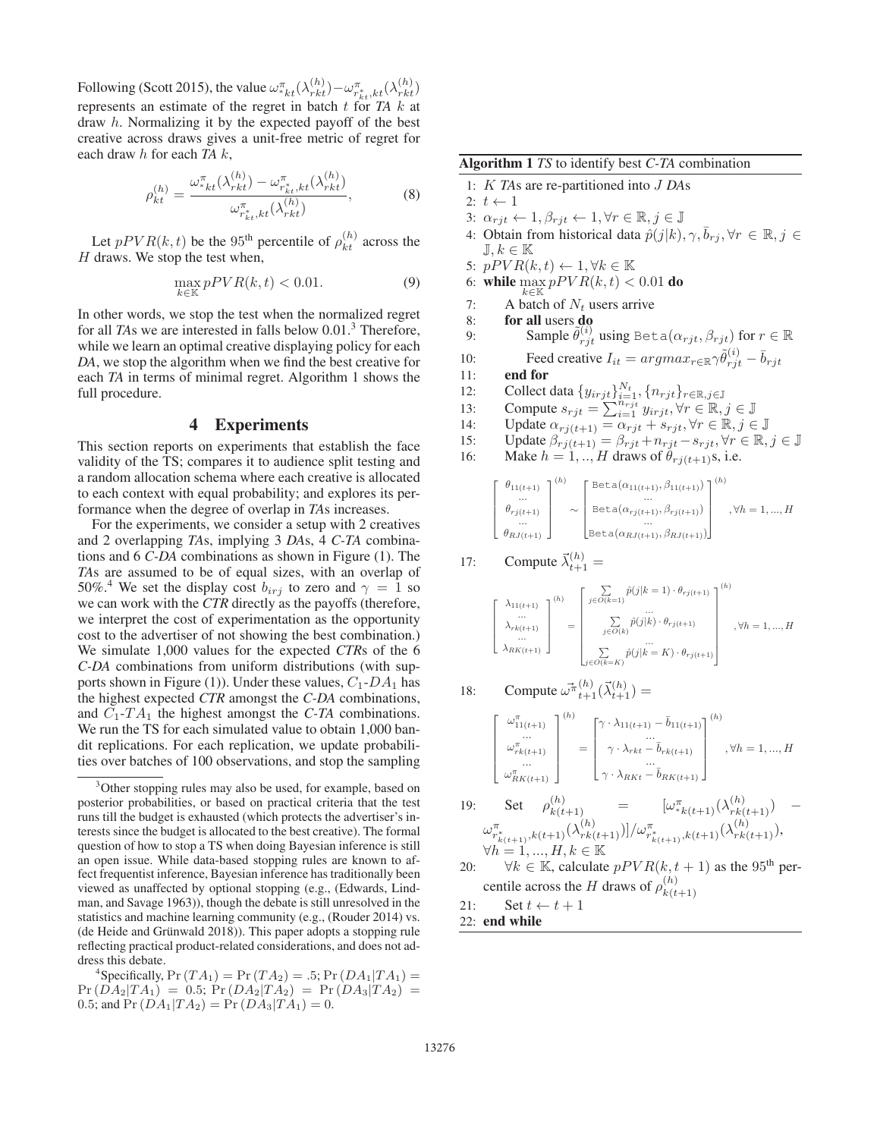Following (Scott 2015), the value  $\omega_{nk}^{\pi}( \lambda_{nk}^{(h)}) - \omega_{nk}^{\pi}( \lambda_{nk}^{(h)})$ <br>represents an estimate of the regret in botch  $t$  for  $TA$  bett represents an estimate of the regret in batch t for *TA* k at draw h. Normalizing it by the expected payoff of the best creative across draws gives a unit-free metric of regret for each draw h for each *TA* k,

$$
\rho_{kt}^{(h)} = \frac{\omega_{*kt}^{\pi}(\lambda_{rkt}^{(h)}) - \omega_{r_{kt}^*,kt}^{\pi}(\lambda_{rkt}^{(h)})}{\omega_{r_{kt}^*,kt}^{\pi}(\lambda_{rkt}^{(h)})},
$$
(8)

Let  $pPVR(k, t)$  be the 95<sup>th</sup> percentile of  $\rho_{kt}^{(h)}$  across the draws. We stop the test when  $H$  draws. We stop the test when,

$$
\max_{k \in \mathbb{K}} pPVR(k, t) < 0.01. \tag{9}
$$

In other words, we stop the test when the normalized regret for all *TAs* we are interested in falls below 0.01.<sup>3</sup> Therefore, while we learn an optimal creative displaying policy for each *DA*, we stop the algorithm when we find the best creative for each *TA* in terms of minimal regret. Algorithm 1 shows the full procedure.

## 4 Experiments

This section reports on experiments that establish the face validity of the TS; compares it to audience split testing and a random allocation schema where each creative is allocated to each context with equal probability; and explores its performance when the degree of overlap in *TA*s increases.

For the experiments, we consider a setup with 2 creatives and 2 overlapping *TA*s, implying 3 *DA*s, 4 *C-TA* combinations and 6 *C-DA* combinations as shown in Figure (1). The *TA*s are assumed to be of equal sizes, with an overlap of 50%.<sup>4</sup> We set the display cost  $b_{irj}$  to zero and  $\gamma = 1$  so we can work with the *CTR* directly as the payoffs (therefore, we interpret the cost of experimentation as the opportunity cost to the advertiser of not showing the best combination.) We simulate 1,000 values for the expected *CTR*s of the 6 *C-DA* combinations from uniform distributions (with supports shown in Figure (1)). Under these values,  $C_1$ -DA<sub>1</sub> has the highest expected *CTR* amongst the *C-DA* combinations, and  $C_1$ - $TA_1$  the highest amongst the *C*-*TA* combinations. We run the TS for each simulated value to obtain 1,000 bandit replications. For each replication, we update probabilities over batches of 100 observations, and stop the sampling

<sup>4</sup>Specifically,  $Pr(T A_1) = Pr(T A_2) = .5; Pr(D A_1 | T A_1) =$  $Pr(DA_2|TA_1) = 0.5; Pr(DA_2|TA_2) = Pr(DA_3|TA_2) =$ 0.5; and  $Pr(DA_1|TA_2) = Pr(DA_3|TA_1) = 0.$ 

Algorithm 1 *TS* to identify best *C-TA* combination

1: K *TA*s are re-partitioned into J *DA*<sup>s</sup>

- 2:  $t \leftarrow 1$ 3:  $\alpha_{rjt} \leftarrow 1, \beta_{rjt} \leftarrow 1, \forall r \in \mathbb{R}, j \in \mathbb{J}$ 4: Obtain from historical data  $\hat{p}(j|k), \gamma, \bar{b}_{r,i}, \forall r \in \mathbb{R}, j \in$  $\mathbb{J}, k \in \mathbb{K}$ 5:  $pPVR(k,t) \leftarrow 1, \forall k \in \mathbb{K}$ 6: while  $\max_{k \in \mathbb{K}} pPVR(k, t) < 0.01$  do 7: A batch of  $N_t$  users arrive<br>8: **for all users do** for all users do 9: Sample  $\tilde{\theta}_{rjt}^{(i)}$  using Beta $(\alpha_{rjt}, \beta_{rjt})$  for  $r \in \mathbb{R}$ 10: Feed creative  $I_{it} = argmax_{r \in \mathbb{R}} \gamma \tilde{\theta}_{rjt}^{(i)} - \bar{b}_{rjt}$ <br>11: **end for** 11: end for 12: Collect data  $\{y_{irjt}\}_{t=1}^{N_t}, \{n_{rjt}\}_{r \in \mathbb{R}, j \in \mathbb{J}}$ <br>13: Compute  $s_{t+1} = \sum_{t=1}^{N_t} y_{t+1} \dots y_{t} \in \mathbb{R}$ 13: Compute  $s_{rjt} = \sum_{i=1}^{n_{rjt}} y_{irjt}, \forall r \in \mathbb{R}, j \in \mathbb{J}$ <br>14: Undate  $\alpha_{r+t+1} = \alpha_{r+t} + s_{r+t} \forall r \in \mathbb{R} \; i \in \mathbb{J}$
- 
- 14: Update  $\alpha_{rj(t+1)} = \alpha_{rjt} + s_{rjt}, \forall r \in \mathbb{R}, j \in \mathbb{J}$ <br>15: Update  $\beta_{rj(t+1)} = \beta_{rjt} + \eta_{rjt} s_{rjt}, \forall r \in \mathbb{R}$ . 15: Update  $\beta_{rj(t+1)} = \beta_{rjt} + n_{rjt} - s_{rjt}, \forall r \in \mathbb{R}, j \in \mathbb{J}$ <br>16: Make  $h = 1$  H draws of  $\theta_{rj(t+1)}$  i.e.
- 16: Make  $h = 1, ..., H$  draws of  $\theta_{rj(t+1)}$ s, i.e.

$$
\begin{bmatrix}\n\theta_{11(t+1)} \\
\vdots \\
\theta_{rj(t+1)} \\
\vdots \\
\theta_{RJ(t+1)}\n\end{bmatrix}^{(h)} \sim \begin{bmatrix}\n\text{Beta}(\alpha_{11(t+1)}, \beta_{11(t+1)}) \\
\vdots \\
\text{Beta}(\alpha_{rj(t+1)}, \beta_{rj(t+1)}) \\
\vdots \\
\text{Beta}(\alpha_{RJ(t+1)}, \beta_{RJ(t+1)})\n\end{bmatrix}^{(h)}, \forall h = 1, ..., H
$$

17: Compute 
$$
\vec{\lambda}_{t+1}^{(h)}
$$
 =

$$
\left[\begin{array}{c} \lambda_{11(t+1)} \\ \ldots \\ \lambda_{rk(t+1)} \\ \ldots \\ \lambda_{RK(t+1)} \end{array}\right]^{(h)} = \left[\begin{array}{c} \sum\limits_{j \in O(k=1)} \hat{p}(j|k=1) \cdot \theta_{rj(t+1)} \\ \ldots \\ \sum\limits_{j \in O(k)} \hat{p}(j|k) \cdot \theta_{rj(t+1)} \\ \ldots \\ \sum\limits_{j \in O(k=K)} \hat{p}(j|k=K) \cdot \theta_{rj(t+1)} \end{array}\right]^{(h)} \text{, } \forall h=1,...,H
$$

18: Compute 
$$
\vec{\omega}^{\pi}(h) \overrightarrow{\lambda}_{t+1}(\vec{\lambda}_{t+1}^{(h)}) =
$$
  
\n
$$
\begin{bmatrix}\n\omega_{11(t+1)}^{\pi} \\
\vdots \\
\omega_{rk(t+1)}^{\pi} \\
\vdots \\
\omega_{RK(t+1)}^{\pi}\n\end{bmatrix}^{(h)} = \begin{bmatrix}\n\gamma \cdot \lambda_{11(t+1)} - \bar{b}_{11(t+1)} \\
\vdots \\
\gamma \cdot \lambda_{rk} - \bar{b}_{rk(t+1)} \\
\vdots \\
\gamma \cdot \lambda_{RK} - \bar{b}_{RK(t+1)}\n\end{bmatrix}^{(h)}, \forall h = 1, ..., H
$$

- 19: Set  $\rho_{k(t+1)}^{(h)} = [\omega_{*k(t+1)}^{\pi}(\lambda_{rk(t+1)}^{(h)}) \omega_{r_{k(t+1)}^{\pi},k(t+1)}^{\pi}(\lambda_{rk(t+1)}^{(h)})]/\omega_{r_{k(t+1)}^{\pi},k(t+1)}^{\pi}(\lambda_{rk(t+1)}^{(h)}),$  $\forall h = 1, ..., H, k \in \mathbb{K}$
- 20:  $\forall k \in \mathbb{K}$ , calculate  $pPVR(k, t + 1)$  as the 95<sup>th</sup> percentile across the H draws of  $\rho_{k(t)}^{(h)}$  $k(t+1)$
- 21: Set  $t \leftarrow t + 1$
- 22: end while

<sup>&</sup>lt;sup>3</sup>Other stopping rules may also be used, for example, based on posterior probabilities, or based on practical criteria that the test runs till the budget is exhausted (which protects the advertiser's interests since the budget is allocated to the best creative). The formal question of how to stop a TS when doing Bayesian inference is still an open issue. While data-based stopping rules are known to affect frequentist inference, Bayesian inference has traditionally been viewed as unaffected by optional stopping (e.g., (Edwards, Lindman, and Savage 1963)), though the debate is still unresolved in the statistics and machine learning community (e.g., (Rouder 2014) vs.  $(de Heide and Grünwald 2018)$ . This paper adopts a stopping rule reflecting practical product-related considerations, and does not address this debate.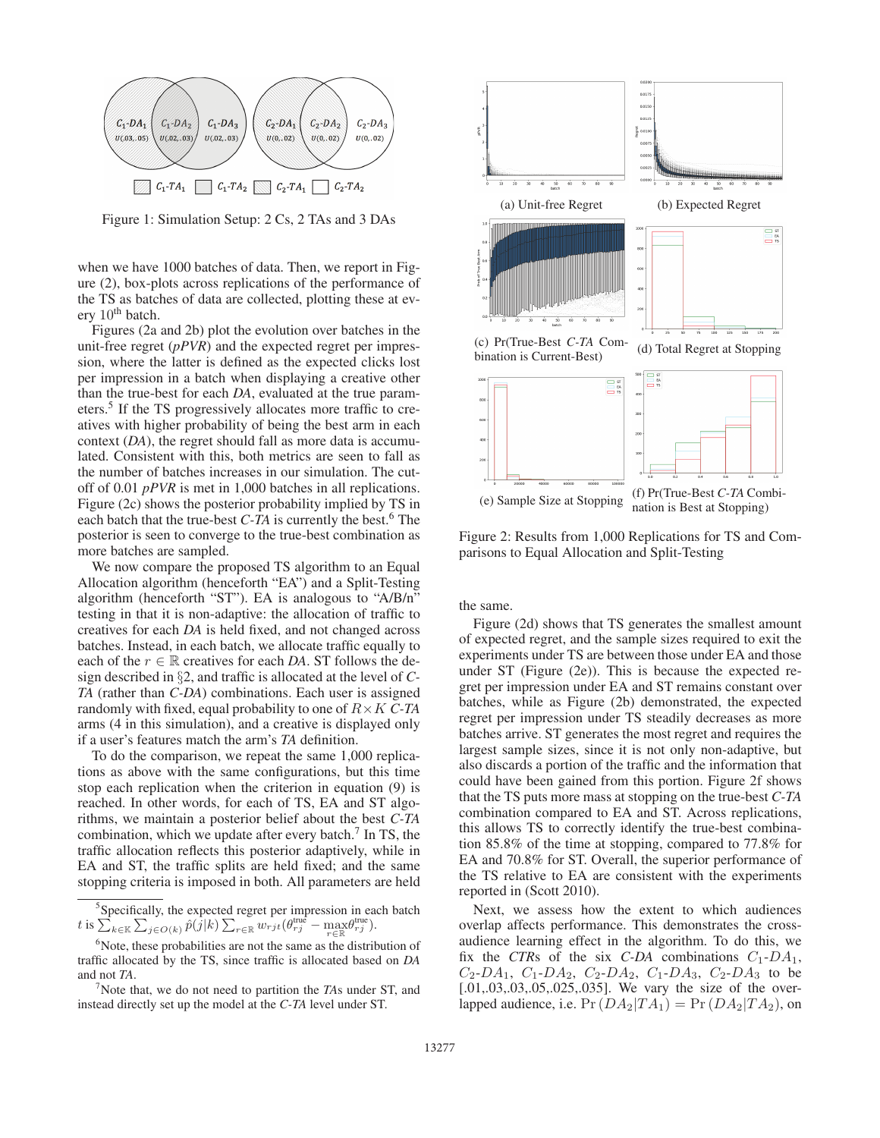

Figure 1: Simulation Setup: 2 Cs, 2 TAs and 3 DAs

when we have 1000 batches of data. Then, we report in Figure (2), box-plots across replications of the performance of the TS as batches of data are collected, plotting these at every  $10<sup>th</sup>$  batch.

Figures (2a and 2b) plot the evolution over batches in the unit-free regret (*pPVR*) and the expected regret per impression, where the latter is defined as the expected clicks lost per impression in a batch when displaying a creative other than the true-best for each *DA*, evaluated at the true parameters.5 If the TS progressively allocates more traffic to creatives with higher probability of being the best arm in each context (*DA*), the regret should fall as more data is accumulated. Consistent with this, both metrics are seen to fall as the number of batches increases in our simulation. The cutoff of 0.01 *pPVR* is met in 1,000 batches in all replications. Figure (2c) shows the posterior probability implied by TS in each batch that the true-best  $C$ -*TA* is currently the best.<sup>6</sup> The posterior is seen to converge to the true-best combination as more batches are sampled.

We now compare the proposed TS algorithm to an Equal Allocation algorithm (henceforth "EA") and a Split-Testing algorithm (henceforth "ST"). EA is analogous to "A/B/n" testing in that it is non-adaptive: the allocation of traffic to creatives for each *DA* is held fixed, and not changed across batches. Instead, in each batch, we allocate traffic equally to each of the  $r \in \mathbb{R}$  creatives for each *DA*. ST follows the design described in §2, and traffic is allocated at the level of *C-TA* (rather than *C-DA*) combinations. Each user is assigned randomly with fixed, equal probability to one of R×K *C-TA* arms (4 in this simulation), and a creative is displayed only if a user's features match the arm's *TA* definition.

To do the comparison, we repeat the same 1,000 replications as above with the same configurations, but this time stop each replication when the criterion in equation (9) is reached. In other words, for each of TS, EA and ST algorithms, we maintain a posterior belief about the best *C-TA* combination, which we update after every batch. $<sup>7</sup>$  In TS, the</sup> traffic allocation reflects this posterior adaptively, while in EA and ST, the traffic splits are held fixed; and the same stopping criteria is imposed in both. All parameters are held



Figure 2: Results from 1,000 Replications for TS and Comparisons to Equal Allocation and Split-Testing

the same.

Figure (2d) shows that TS generates the smallest amount of expected regret, and the sample sizes required to exit the experiments under TS are between those under EA and those under ST (Figure (2e)). This is because the expected regret per impression under EA and ST remains constant over batches, while as Figure (2b) demonstrated, the expected regret per impression under TS steadily decreases as more batches arrive. ST generates the most regret and requires the largest sample sizes, since it is not only non-adaptive, but also discards a portion of the traffic and the information that could have been gained from this portion. Figure 2f shows that the TS puts more mass at stopping on the true-best *C-TA* combination compared to EA and ST. Across replications, this allows TS to correctly identify the true-best combination 85.8% of the time at stopping, compared to 77.8% for EA and 70.8% for ST. Overall, the superior performance of the TS relative to EA are consistent with the experiments reported in (Scott 2010).

Next, we assess how the extent to which audiences overlap affects performance. This demonstrates the crossaudience learning effect in the algorithm. To do this, we fix the *CTRs* of the six *C-DA* combinations  $C_1$ -DA<sub>1</sub>,  $C_2$ -DA<sub>1</sub>,  $C_1$ -DA<sub>2</sub>,  $C_2$ -DA<sub>2</sub>,  $C_1$ -DA<sub>3</sub>,  $C_2$ -DA<sub>3</sub> to be [.01,.03,.03,.05,.025,.035]. We vary the size of the overlapped audience, i.e.  $Pr(DA_2|TA_1) = Pr(DA_2|TA_2)$ , on

<sup>&</sup>lt;sup>5</sup>Specifically, the expected regret per impression in each batch  $t$  is  $\sum_{k \in \mathbb{K}} \sum_{j \in O(k)} \hat{p}(j|k) \sum_{r \in \mathbb{R}} w_{rjt} (\theta_{rj}^{\text{true}} - \max_{r \in \mathbb{R}} \theta_{rj}^{\text{true}}).$ 

<sup>&</sup>lt;sup>6</sup>Note, these probabilities are not the same as the distribution of traffic allocated by the TS, since traffic is allocated based on *DA* and not *TA*.

<sup>7</sup> Note that, we do not need to partition the *TA*s under ST, and instead directly set up the model at the *C-TA* level under ST.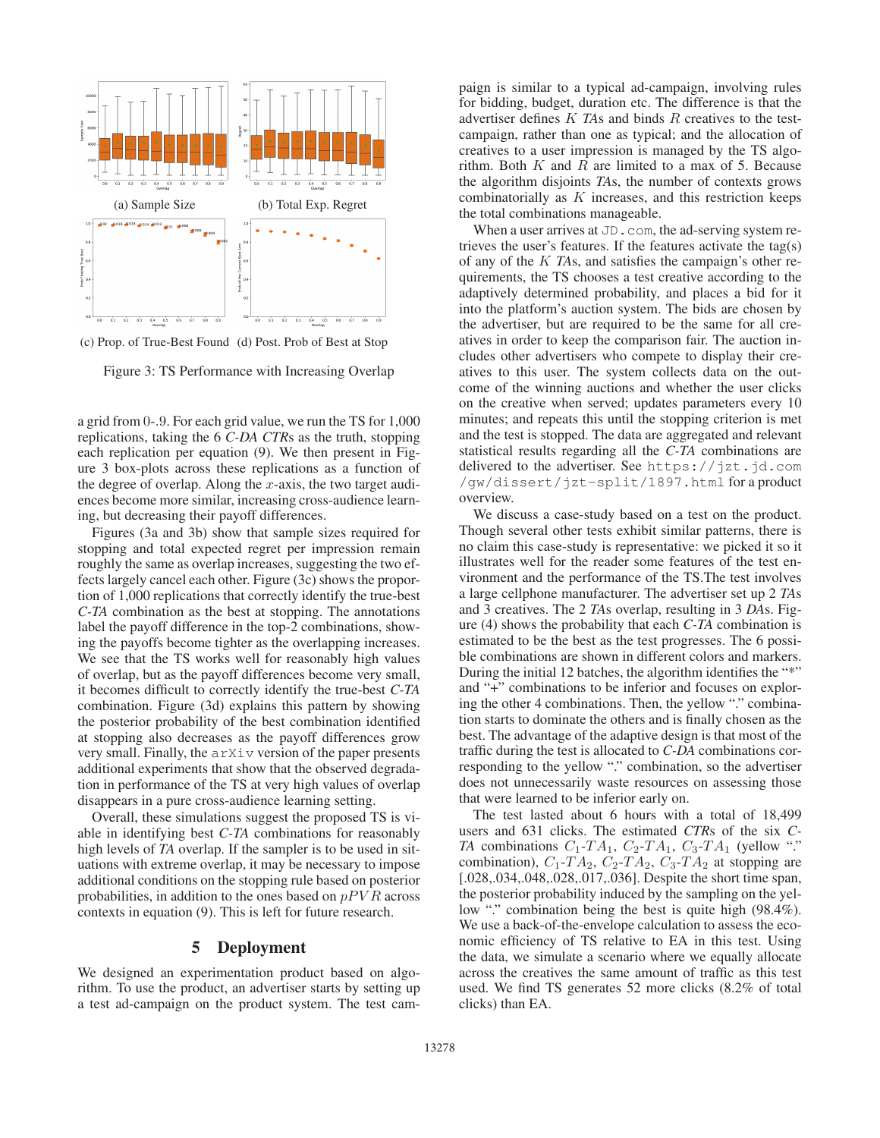

(c) Prop. of True-Best Found (d) Post. Prob of Best at Stop

Figure 3: TS Performance with Increasing Overlap

a grid from <sup>0</sup>-.9. For each grid value, we run the TS for 1,000 replications, taking the 6 *C-DA CTR*s as the truth, stopping each replication per equation (9). We then present in Figure 3 box-plots across these replications as a function of the degree of overlap. Along the  $x$ -axis, the two target audiences become more similar, increasing cross-audience learning, but decreasing their payoff differences.

Figures (3a and 3b) show that sample sizes required for stopping and total expected regret per impression remain roughly the same as overlap increases, suggesting the two effects largely cancel each other. Figure (3c) shows the proportion of 1,000 replications that correctly identify the true-best *C-TA* combination as the best at stopping. The annotations label the payoff difference in the top-2 combinations, showing the payoffs become tighter as the overlapping increases. We see that the TS works well for reasonably high values of overlap, but as the payoff differences become very small, it becomes difficult to correctly identify the true-best *C-TA* combination. Figure (3d) explains this pattern by showing the posterior probability of the best combination identified at stopping also decreases as the payoff differences grow very small. Finally, the arXiv version of the paper presents additional experiments that show that the observed degradation in performance of the TS at very high values of overlap disappears in a pure cross-audience learning setting.

Overall, these simulations suggest the proposed TS is viable in identifying best *C-TA* combinations for reasonably high levels of *TA* overlap. If the sampler is to be used in situations with extreme overlap, it may be necessary to impose additional conditions on the stopping rule based on posterior probabilities, in addition to the ones based on  $pPVR$  across contexts in equation (9). This is left for future research.

## 5 Deployment

We designed an experimentation product based on algorithm. To use the product, an advertiser starts by setting up a test ad-campaign on the product system. The test cam-

paign is similar to a typical ad-campaign, involving rules for bidding, budget, duration etc. The difference is that the advertiser defines K *TA*s and binds R creatives to the testcampaign, rather than one as typical; and the allocation of creatives to a user impression is managed by the TS algorithm. Both  $K$  and  $R$  are limited to a max of 5. Because the algorithm disjoints *TA*s, the number of contexts grows combinatorially as  $K$  increases, and this restriction keeps the total combinations manageable.

When a user arrives at JD.com, the ad-serving system retrieves the user's features. If the features activate the tag(s) of any of the K *TA*s, and satisfies the campaign's other requirements, the TS chooses a test creative according to the adaptively determined probability, and places a bid for it into the platform's auction system. The bids are chosen by the advertiser, but are required to be the same for all creatives in order to keep the comparison fair. The auction includes other advertisers who compete to display their creatives to this user. The system collects data on the outcome of the winning auctions and whether the user clicks on the creative when served; updates parameters every 10 minutes; and repeats this until the stopping criterion is met and the test is stopped. The data are aggregated and relevant statistical results regarding all the *C-TA* combinations are delivered to the advertiser. See https://jzt.jd.com /gw/dissert/jzt-split/1897.html for a product overview.

We discuss a case-study based on a test on the product. Though several other tests exhibit similar patterns, there is no claim this case-study is representative: we picked it so it illustrates well for the reader some features of the test environment and the performance of the TS.The test involves a large cellphone manufacturer. The advertiser set up 2 *TA*s and 3 creatives. The 2 *TA*s overlap, resulting in 3 *DA*s. Figure (4) shows the probability that each *C-TA* combination is estimated to be the best as the test progresses. The 6 possible combinations are shown in different colors and markers. During the initial 12 batches, the algorithm identifies the "\*" and "+" combinations to be inferior and focuses on exploring the other 4 combinations. Then, the yellow "." combination starts to dominate the others and is finally chosen as the best. The advantage of the adaptive design is that most of the traffic during the test is allocated to *C-DA* combinations corresponding to the yellow "." combination, so the advertiser does not unnecessarily waste resources on assessing those that were learned to be inferior early on.

The test lasted about 6 hours with a total of 18,499 users and 631 clicks. The estimated *CTR*s of the six *C-TA* combinations  $C_1$ - $TA_1$ ,  $C_2$ - $TA_1$ ,  $C_3$ - $TA_1$  (yellow "." combination),  $C_1$ -T $A_2$ ,  $C_2$ -T $A_2$ ,  $C_3$ -T $A_2$  at stopping are [.028,.034,.048,.028,.017,.036]. Despite the short time span, the posterior probability induced by the sampling on the yellow "." combination being the best is quite high (98.4%). We use a back-of-the-envelope calculation to assess the economic efficiency of TS relative to EA in this test. Using the data, we simulate a scenario where we equally allocate across the creatives the same amount of traffic as this test used. We find TS generates 52 more clicks (8.2% of total clicks) than EA.